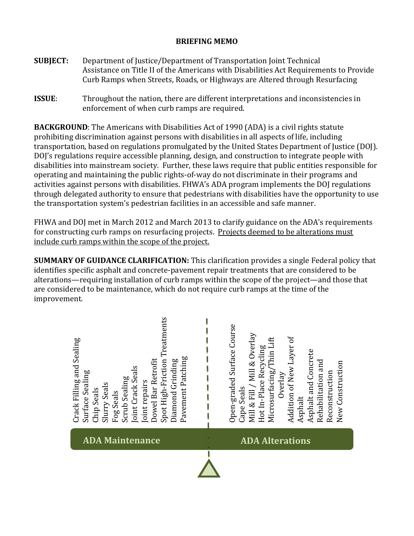## **BRIEFING MEMO**

- **SUBJECT:** Department of Justice/Department of Transportation Joint Technical Assistance on Title II of the Americans with Disabilities Act Requirements to Provide Curb Ramps when Streets, Roads, or Highways are Altered through Resurfacing
- **ISSUE**: Throughout the nation, there are different interpretations and inconsistencies in enforcement of when curb ramps are required.

**BACKGROUND**: The Americans with Disabilities Act of 1990 (ADA) is a civil rights statute prohibiting discrimination against persons with disabilities in all aspects of life, including transportation, based on regulations promulgated by the United States Department of Justice (DOJ). DOJ's regulations require accessible planning, design, and construction to integrate people with disabilities into mainstream society. Further, these laws require that public entities responsible for operating and maintaining the public rights-of-way do not discriminate in their programs and activities against persons with disabilities. FHWA's ADA program implements the DOJ regulations through delegated authority to ensure that pedestrians with disabilities have the opportunity to use the transportation system's pedestrian facilities in an accessible and safe manner.

FHWA and DOJ met in March 2012 and March 2013 to clarify guidance on the ADA's requirements for constructing curb ramps on resurfacing projects. Projects deemed to be alterations must include curb ramps within the scope of the project.

**SUMMARY OF GUIDANCE CLARIFICATION:** This clarification provides a single Federal policy that identifies specific asphalt and concrete-pavement repair treatments that are considered to be alterations—requiring installation of curb ramps within the scope of the project—and those that are considered to be maintenance, which do not require curb ramps at the time of the improvement.

| Spot High-Friction Treatments<br>Crack Filling and Sealing<br>Pavement Patching<br>Dowel Bar Retrofit<br>Diamond Grinding<br>Joint Crack Seals<br>Surface Sealing<br>Scrub Sealing<br>Joint repairs<br><b>Slurry Seals</b><br>Chip Seals<br>Fog Seals | Open-graded Surface Course<br>Mill & Fill / Mill & Overlay<br>Addition of New Layer of<br>Microsurfacing/Thin Lift<br>Hot In-Place Recycling<br>Asphalt and Concrete<br>Rehabilitation and<br>New Construction<br>Reconstruction<br>Overlay<br>Cape Seals<br>Asphalt |
|-------------------------------------------------------------------------------------------------------------------------------------------------------------------------------------------------------------------------------------------------------|----------------------------------------------------------------------------------------------------------------------------------------------------------------------------------------------------------------------------------------------------------------------|
| <b>ADA Maintenance</b>                                                                                                                                                                                                                                | <b>ADA Alterations</b>                                                                                                                                                                                                                                               |
|                                                                                                                                                                                                                                                       |                                                                                                                                                                                                                                                                      |